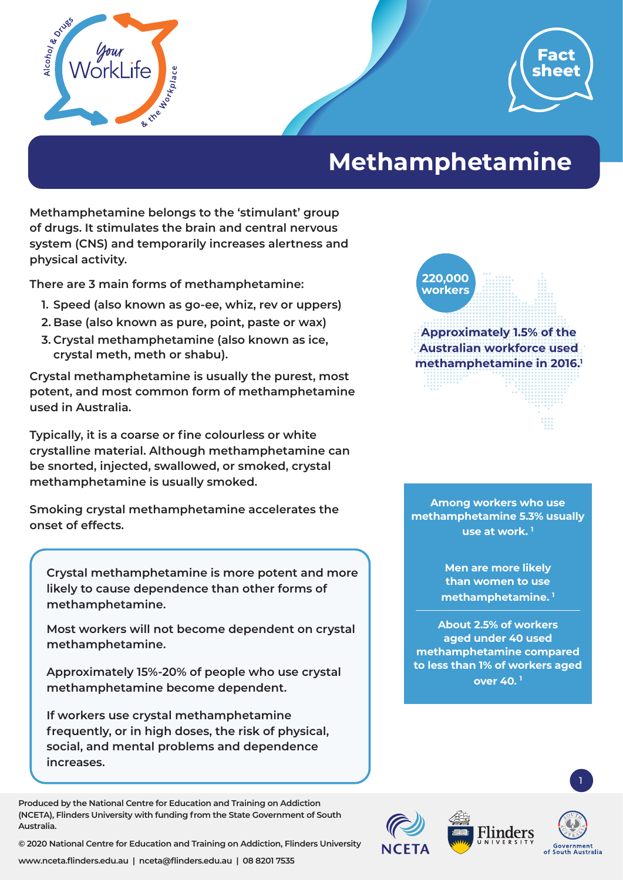



## **Methamphetamine**

**Methamphetamine belongs to the 'stimulant' group of drugs. It stimulates the brain and central nervous system (CNS) and temporarily increases alertness and physical activity.** 

**There are 3 main forms of methamphetamine:**

- **1. Speed (also known as go-ee, whiz, rev or uppers)**
- **2. Base (also known as pure, point, paste or wax)**
- **3. Crystal methamphetamine (also known as ice, crystal meth, meth or shabu).**

**Crystal methamphetamine is usually the purest, most potent, and most common form of methamphetamine used in Australia.** 

**Typically, it is a coarse or fine colourless or white crystalline material. Although methamphetamine can be snorted, injected, swallowed, or smoked, crystal methamphetamine is usually smoked.** 

**Smoking crystal methamphetamine accelerates the onset of effects.**

**Crystal methamphetamine is more potent and more likely to cause dependence than other forms of methamphetamine.** 

**Most workers will not become dependent on crystal methamphetamine.** 

**Approximately 15%-20% of people who use crystal methamphetamine become dependent.** 

**If workers use crystal methamphetamine frequently, or in high doses, the risk of physical, social, and mental problems and dependence increases.** 

**Produced by the National Centre for Education and Training on Addiction (NCETA), Flinders University with funding from the State Government of South Australia.** 

**© 2020 National Centre for Education and Training on Addiction, Flinders University**

**220,000 workers**

**Approximately 1.5% of the Australian workforce used methamphetamine in 2016.1**

**Among workers who use methamphetamine 5.3% usually use at work. 1**

> **Men are more likely than women to use methamphetamine. 1**

**About 2.5% of workers aged under 40 used methamphetamine compared to less than 1% of workers aged over 40. 1**



1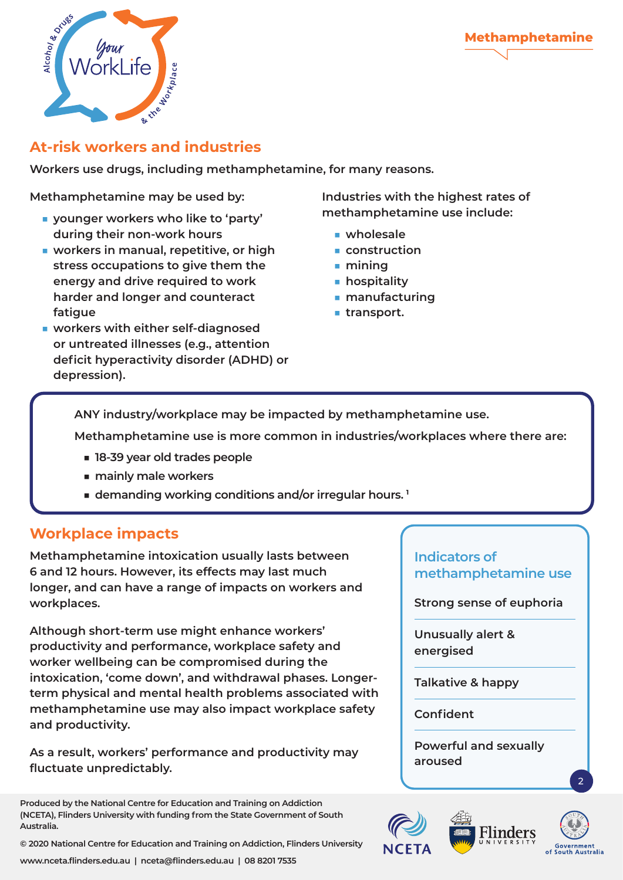



## **At-risk workers and industries**

**Workers use drugs, including methamphetamine, for many reasons.** 

**Methamphetamine may be used by:** 

- **younger workers who like to 'party' during their non-work hours**
- **workers in manual, repetitive, or high stress occupations to give them the energy and drive required to work harder and longer and counteract fatigue**
- **workers with either self-diagnosed or untreated illnesses (e.g., attention deficit hyperactivity disorder (ADHD) or depression).**

**Industries with the highest rates of methamphetamine use include:** 

- wholesale
- **construction**
- **mining**
- **hospitality**
- **manufacturing**
- **transport.**

**ANY industry/workplace may be impacted by methamphetamine use.** 

**Methamphetamine use is more common in industries/workplaces where there are:** 

- **18-39 year old trades people**
- **mainly male workers**
- **demanding working conditions and/or irregular hours.**<sup>1</sup>

## **Workplace impacts**

**Methamphetamine intoxication usually lasts between 6 and 12 hours. However, its effects may last much longer, and can have a range of impacts on workers and workplaces.** 

**Although short-term use might enhance workers' productivity and performance, workplace safety and worker wellbeing can be compromised during the intoxication, 'come down', and withdrawal phases. Longerterm physical and mental health problems associated with methamphetamine use may also impact workplace safety and productivity.** 

**As a result, workers' performance and productivity may fluctuate unpredictably.** 

**Produced by the National Centre for Education and Training on Addiction (NCETA), Flinders University with funding from the State Government of South Australia.** 

**© 2020 National Centre for Education and Training on Addiction, Flinders University**

## **Indicators of methamphetamine use**

**Strong sense of euphoria**

**Unusually alert & energised**

**Talkative & happy**

**Confident**

**Powerful and sexually aroused**



2